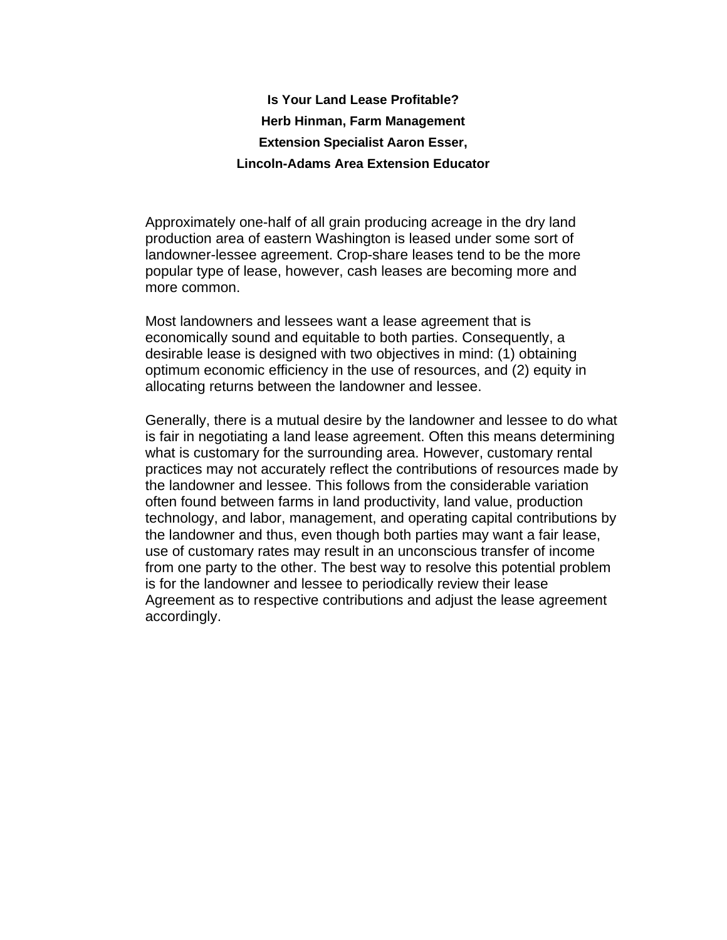## **Is Your Land Lease Profitable? Herb Hinman, Farm Management Extension Specialist Aaron Esser, Lincoln-Adams Area Extension Educator**

Approximately one-half of all grain producing acreage in the dry land production area of eastern Washington is leased under some sort of landowner-lessee agreement. Crop-share leases tend to be the more popular type of lease, however, cash leases are becoming more and more common.

Most landowners and lessees want a lease agreement that is economically sound and equitable to both parties. Consequently, a desirable lease is designed with two objectives in mind: (1) obtaining optimum economic efficiency in the use of resources, and (2) equity in allocating returns between the landowner and lessee.

Generally, there is a mutual desire by the landowner and lessee to do what is fair in negotiating a land lease agreement. Often this means determining what is customary for the surrounding area. However, customary rental practices may not accurately reflect the contributions of resources made by the landowner and lessee. This follows from the considerable variation often found between farms in land productivity, land value, production technology, and labor, management, and operating capital contributions by the landowner and thus, even though both parties may want a fair lease, use of customary rates may result in an unconscious transfer of income from one party to the other. The best way to resolve this potential problem is for the landowner and lessee to periodically review their lease Agreement as to respective contributions and adjust the lease agreement accordingly.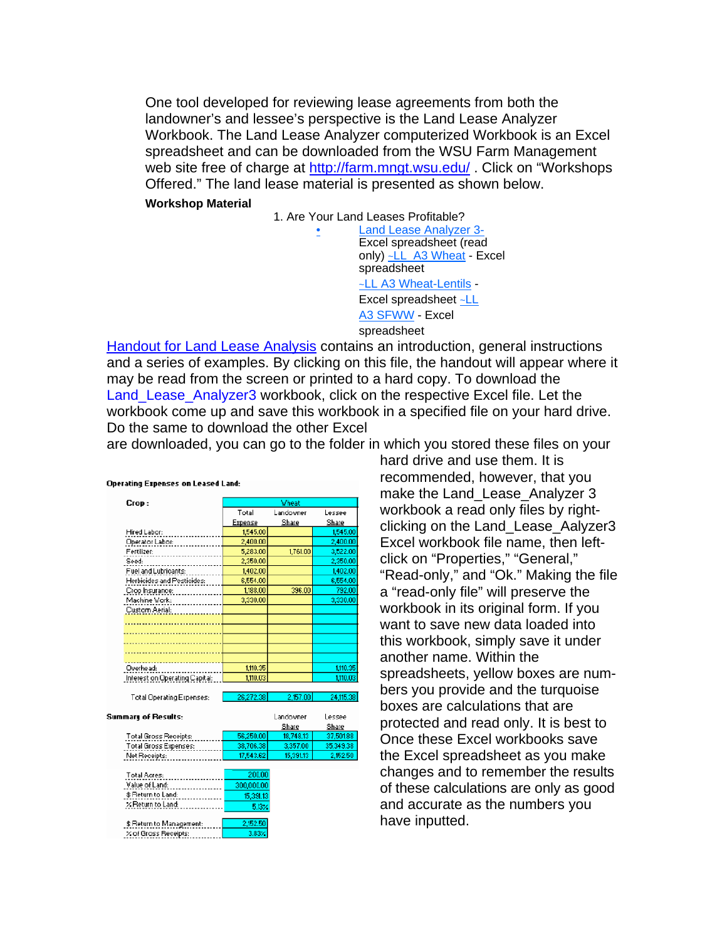One tool developed for reviewing lease agreements from both the landowner's and lessee's perspective is the Land Lease Analyzer Workbook. The Land Lease Analyzer computerized Workbook is an Excel spreadsheet and can be downloaded from the WSU Farm Management web site free of charge at http://farm.mngt.wsu.edu/ . Click on "Workshops Offered." The land lease material is presented as shown below.

**Workshop Material** 

1. Are Your Land Leases Profitable? • Land Lease Analyzer 3- Excel spreadsheet (read only) ~LL\_A3 Wheat - Excel spreadsheet ~LL A3 Wheat-Lentils - Excel spreadsheet ~LL A3 SFWW - Excel spreadsheet

Handout for Land Lease Analysis contains an introduction, general instructions and a series of examples. By clicking on this file, the handout will appear where it may be read from the screen or printed to a hard copy. To download the Land\_Lease\_Analyzer3 workbook, click on the respective Excel file. Let the workbook come up and save this workbook in a specified file on your hard drive. Do the same to download the other Excel

are downloaded, you can go to the folder in which you stored these files on your

| <b>Operating Expenses on Leased Land:</b> |              |           |           |
|-------------------------------------------|--------------|-----------|-----------|
| Crop:                                     | <b>Vheat</b> |           |           |
|                                           | Total        | Landowner | Lessee    |
|                                           | Expense      | Share     | Share     |
| Hired Labor:                              | 1,545.00     |           | 1,545.00  |
| Operator Labor:                           | 2,400.00     |           | 2,400.00  |
| Fertilizer:                               | 5,283.00     | 1,761.00  | 3,522.00  |
| Seed:                                     | 2,350.00     |           | 2,350.00  |
| Fuel and Lubricants:                      | 1,402.00     |           | 1,402.00  |
| Herbioides and Pestioides:                | 6,554.00     |           | 6,554.00  |
| Crop Insurance:                           | 1,188.00     | 396.00    | 792.00    |
| Machine Work:                             | 3,330.00     |           | 3,330.00  |
| Custom Aerial:                            |              |           |           |
|                                           |              |           |           |
|                                           |              |           |           |
|                                           |              |           |           |
|                                           |              |           |           |
|                                           |              |           |           |
| Overhead:                                 | 1,110.35     |           | 1,110.35  |
| Interest on Operating Capital:            | 1.110.03     |           | 1,110.03  |
|                                           |              |           |           |
| <b>Total Operating Expenses:</b>          | 26,272.38    | 2.157.00  | 24,115.38 |
| Summary of Results:                       |              | Landowner | Lessee    |
|                                           |              | Share     | Share     |
| <b>Total Gross Receipts:</b>              | 56,250.00    | 18,748.13 | 37,501.88 |
| <b>Total Gross Expenses:</b>              | 38,706.38    | 3,357.00  | 35,349.38 |
| Net Receipts:                             | 17.543.62    | 15,391.13 | 2.152.50  |
|                                           |              |           |           |
| Total Acres:                              | 200.00       |           |           |
| Value of Land:                            | 300,000.00   |           |           |
| \$ Return to Land:                        | 15,391.13    |           |           |
| X Return to Land:                         | 5.13%        |           |           |
|                                           |              |           |           |
| \$ Return to Management:                  | 2,152.50     |           |           |
| X of Gross Receipts:                      | 3.83%        |           |           |

hard drive and use them. It is recommended, however, that you make the Land Lease Analyzer 3 workbook a read only files by rightclicking on the Land\_Lease\_Aalyzer3 Excel workbook file name, then leftclick on "Properties," "General," "Read-only," and "Ok." Making the file a "read-only file" will preserve the workbook in its original form. If you want to save new data loaded into this workbook, simply save it under another name. Within the spreadsheets, yellow boxes are numbers you provide and the turquoise boxes are calculations that are protected and read only. It is best to Once these Excel workbooks save the Excel spreadsheet as you make changes and to remember the results of these calculations are only as good and accurate as the numbers you have inputted.